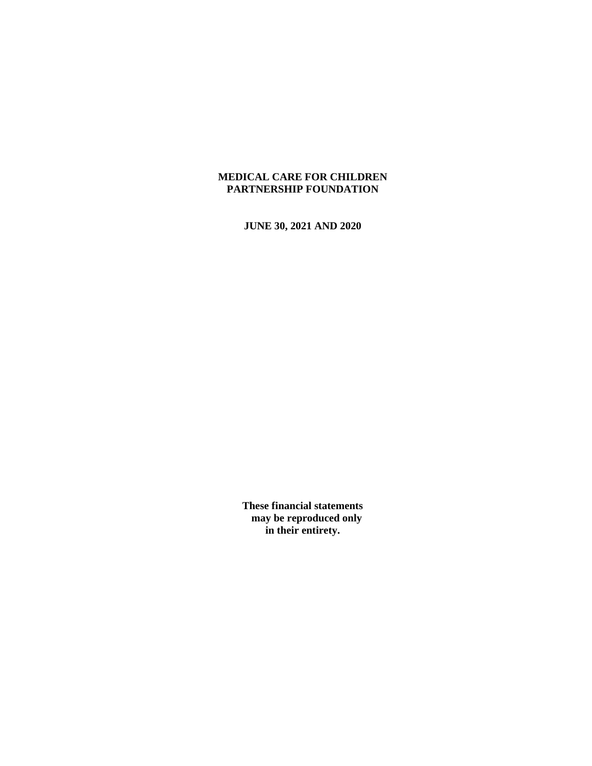**JUNE 30, 2021 AND 2020**

**These financial statements may be reproduced only in their entirety.**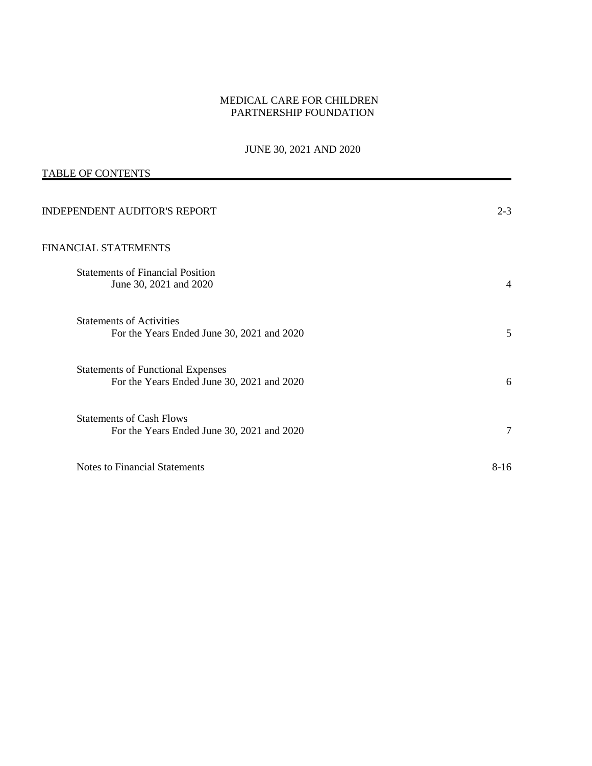JUNE 30, 2021 AND 2020

# TABLE OF CONTENTS

| <b>INDEPENDENT AUDITOR'S REPORT</b>                                                    | $2 - 3$        |
|----------------------------------------------------------------------------------------|----------------|
| FINANCIAL STATEMENTS                                                                   |                |
| <b>Statements of Financial Position</b><br>June 30, 2021 and 2020                      | $\overline{4}$ |
| <b>Statements of Activities</b><br>For the Years Ended June 30, 2021 and 2020          | 5              |
| <b>Statements of Functional Expenses</b><br>For the Years Ended June 30, 2021 and 2020 | 6              |
| <b>Statements of Cash Flows</b><br>For the Years Ended June 30, 2021 and 2020          | 7              |
| <b>Notes to Financial Statements</b>                                                   | $8-16$         |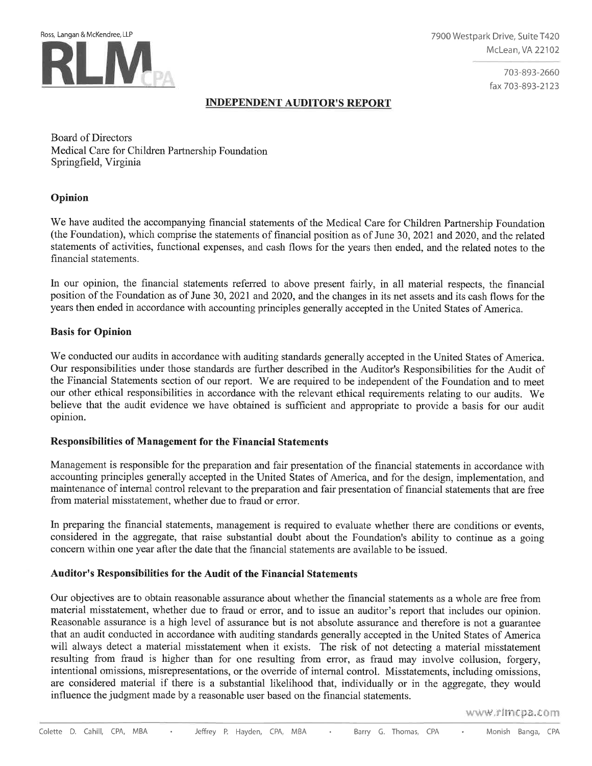

7900 Westpark Drive, Suite T420 McLean, VA 22102

> 703-893-2660 fax 703-893-2123

## **INDEPENDENT AUDITOR'S REPORT**

**Board of Directors** Medical Care for Children Partnership Foundation Springfield, Virginia

## Opinion

We have audited the accompanying financial statements of the Medical Care for Children Partnership Foundation (the Foundation), which comprise the statements of financial position as of June 30, 2021 and 2020, and the related statements of activities, functional expenses, and cash flows for the years then ended, and the related notes to the financial statements.

In our opinion, the financial statements referred to above present fairly, in all material respects, the financial position of the Foundation as of June 30, 2021 and 2020, and the changes in its net assets and its cash flows for the years then ended in accordance with accounting principles generally accepted in the United States of America.

## **Basis for Opinion**

We conducted our audits in accordance with auditing standards generally accepted in the United States of America. Our responsibilities under those standards are further described in the Auditor's Responsibilities for the Audit of the Financial Statements section of our report. We are required to be independent of the Foundation and to meet our other ethical responsibilities in accordance with the relevant ethical requirements relating to our audits. We believe that the audit evidence we have obtained is sufficient and appropriate to provide a basis for our audit opinion.

## **Responsibilities of Management for the Financial Statements**

Management is responsible for the preparation and fair presentation of the financial statements in accordance with accounting principles generally accepted in the United States of America, and for the design, implementation, and maintenance of internal control relevant to the preparation and fair presentation of financial statements that are free from material misstatement, whether due to fraud or error.

In preparing the financial statements, management is required to evaluate whether there are conditions or events, considered in the aggregate, that raise substantial doubt about the Foundation's ability to continue as a going concern within one year after the date that the financial statements are available to be issued.

## **Auditor's Responsibilities for the Audit of the Financial Statements**

Our objectives are to obtain reasonable assurance about whether the financial statements as a whole are free from material misstatement, whether due to fraud or error, and to issue an auditor's report that includes our opinion. Reasonable assurance is a high level of assurance but is not absolute assurance and therefore is not a guarantee that an audit conducted in accordance with auditing standards generally accepted in the United States of America will always detect a material misstatement when it exists. The risk of not detecting a material misstatement resulting from fraud is higher than for one resulting from error, as fraud may involve collusion, forgery, intentional omissions, misrepresentations, or the override of internal control. Misstatements, including omissions, are considered material if there is a substantial likelihood that, individually or in the aggregate, they would influence the judgment made by a reasonable user based on the financial statements.

www.rimcpa.com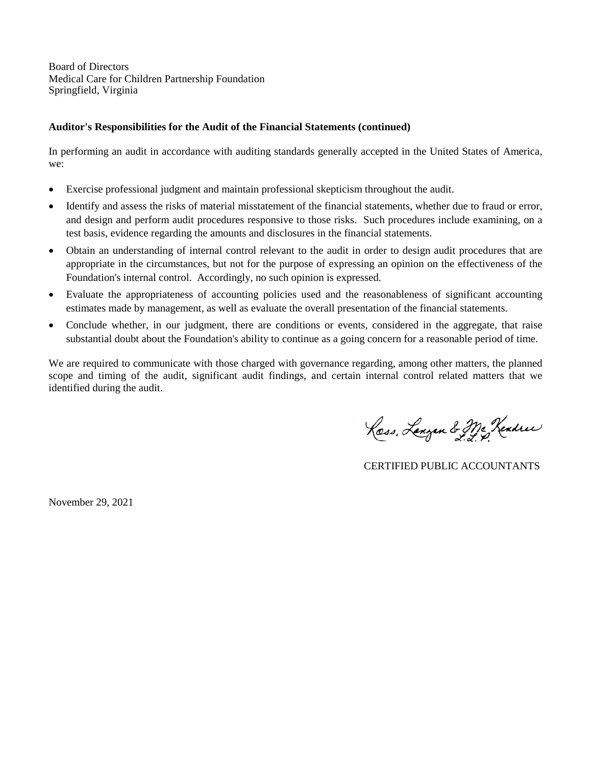Board of Directors Medical Care for Children Partnership Foundation Springfield, Virginia

## **Auditor's Responsibilities for the Audit of the Financial Statements (continued)**

In performing an audit in accordance with auditing standards generally accepted in the United States of America, we:

- Exercise professional judgment and maintain professional skepticism throughout the audit.
- Identify and assess the risks of material misstatement of the financial statements, whether due to fraud or error, and design and perform audit procedures responsive to those risks. Such procedures include examining, on a test basis, evidence regarding the amounts and disclosures in the financial statements.
- Obtain an understanding of internal control relevant to the audit in order to design audit procedures that are appropriate in the circumstances, but not for the purpose of expressing an opinion on the effectiveness of the Foundation's internal control. Accordingly, no such opinion is expressed.
- Evaluate the appropriateness of accounting policies used and the reasonableness of significant accounting estimates made by management, as well as evaluate the overall presentation of the financial statements.
- Conclude whether, in our judgment, there are conditions or events, considered in the aggregate, that raise substantial doubt about the Foundation's ability to continue as a going concern for a reasonable period of time.

We are required to communicate with those charged with governance regarding, among other matters, the planned scope and timing of the audit, significant audit findings, and certain internal control related matters that we identified during the audit.

Ross, Lengen & Mc Kendree

CERTIFIED PUBLIC ACCOUNTANTS

November 29, 2021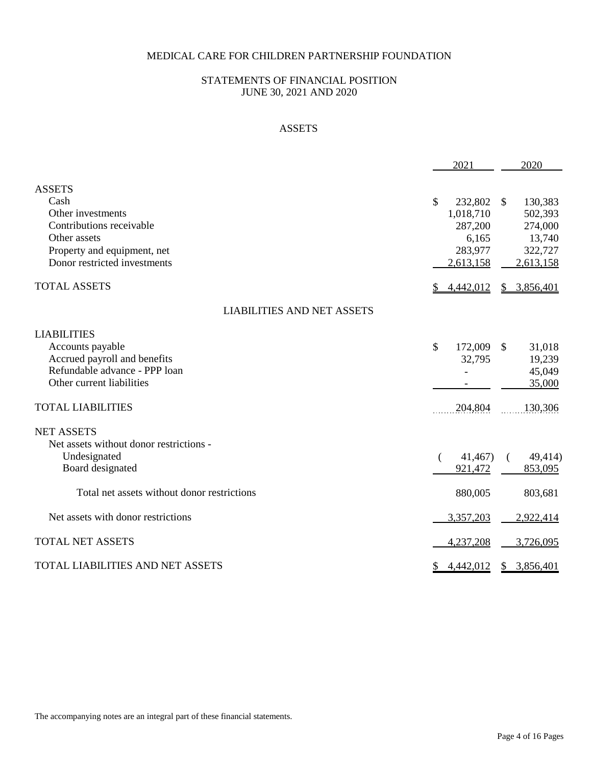## STATEMENTS OF FINANCIAL POSITION JUNE 30, 2021 AND 2020

## ASSETS

|                                                                                                                                                                  | 2021                                                                   | 2020                                                                            |
|------------------------------------------------------------------------------------------------------------------------------------------------------------------|------------------------------------------------------------------------|---------------------------------------------------------------------------------|
| <b>ASSETS</b><br>Cash<br>Other investments<br>Contributions receivable<br>Other assets<br>Property and equipment, net<br>Donor restricted investments            | \$<br>232,802<br>1,018,710<br>287,200<br>6,165<br>283,977<br>2,613,158 | 130,383<br>$\mathbb{S}$<br>502,393<br>274,000<br>13,740<br>322,727<br>2,613,158 |
| <b>TOTAL ASSETS</b>                                                                                                                                              | 4,442,012                                                              | \$3,856,401                                                                     |
| <b>LIABILITIES AND NET ASSETS</b>                                                                                                                                |                                                                        |                                                                                 |
| <b>LIABILITIES</b><br>Accounts payable<br>Accrued payroll and benefits<br>Refundable advance - PPP loan<br>Other current liabilities<br><b>TOTAL LIABILITIES</b> | \$<br>172,009<br>32,795<br>204,804                                     | 31,018<br>\$<br>19,239<br>45,049<br>35,000<br>130,306                           |
| <b>NET ASSETS</b><br>Net assets without donor restrictions -<br>Undesignated<br>Board designated                                                                 | 41,467<br>(<br>921,472                                                 | 49,414)<br>$\sqrt{2}$<br>853,095                                                |
| Total net assets without donor restrictions                                                                                                                      | 880,005                                                                | 803,681                                                                         |
| Net assets with donor restrictions                                                                                                                               | 3,357,203                                                              | 2,922,414                                                                       |
| <b>TOTAL NET ASSETS</b>                                                                                                                                          | 4,237,208                                                              | 3,726,095                                                                       |
| <b>TOTAL LIABILITIES AND NET ASSETS</b>                                                                                                                          | 4,442,012<br>\$                                                        | \$3,856,401                                                                     |

The accompanying notes are an integral part of these financial statements.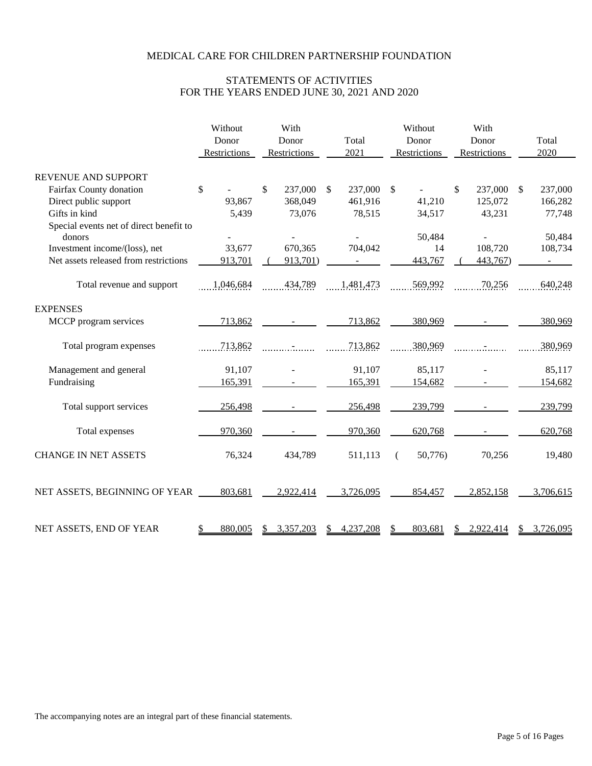## STATEMENTS OF ACTIVITIES FOR THE YEARS ENDED JUNE 30, 2021 AND 2020

|                                         | Without<br>Donor<br>Restrictions | With<br>Donor<br><b>Restrictions</b> | Total<br>2021           | Without<br>Donor<br><b>Restrictions</b> | With<br>Donor<br>Restrictions | Total<br>2020                      |
|-----------------------------------------|----------------------------------|--------------------------------------|-------------------------|-----------------------------------------|-------------------------------|------------------------------------|
| <b>REVENUE AND SUPPORT</b>              |                                  |                                      |                         |                                         |                               |                                    |
| Fairfax County donation                 | \$                               | 237,000<br>\$                        | $\mathbb{S}$<br>237,000 | \$<br>$\blacksquare$                    | \$<br>237,000                 | $\sqrt[6]{\frac{1}{2}}$<br>237,000 |
| Direct public support                   | 93,867                           | 368,049                              | 461,916                 | 41,210                                  | 125,072                       | 166,282                            |
| Gifts in kind                           | 5,439                            | 73,076                               | 78,515                  | 34,517                                  | 43,231                        | 77,748                             |
| Special events net of direct benefit to |                                  |                                      |                         |                                         |                               |                                    |
| donors<br>Investment income/(loss), net | 33,677                           | 670,365                              | 704,042                 | 50,484<br>14                            | 108,720                       | 50,484<br>108,734                  |
| Net assets released from restrictions   | 913,701                          | 913,701)                             |                         | 443,767                                 | 443,767)                      |                                    |
|                                         |                                  |                                      |                         |                                         |                               |                                    |
| Total revenue and support               | 1,046,684                        | 434,789                              | 1,481,473               | 569,992                                 | 70,256                        | 640,248                            |
| <b>EXPENSES</b>                         |                                  |                                      |                         |                                         |                               |                                    |
| MCCP program services                   | 713,862                          |                                      | 713,862                 | 380,969                                 |                               | 380,969                            |
| Total program expenses                  | 713,862                          |                                      | 713,862                 | 380,969                                 |                               | 380,969                            |
| Management and general                  | 91,107                           |                                      | 91,107                  | 85,117                                  |                               | 85,117                             |
| Fundraising                             | 165,391                          |                                      | 165,391                 | 154,682                                 |                               | 154,682                            |
| Total support services                  | 256,498                          |                                      | 256,498                 | 239,799                                 |                               | 239,799                            |
| Total expenses                          | 970,360                          |                                      | 970,360                 | 620,768                                 |                               | 620,768                            |
| <b>CHANGE IN NET ASSETS</b>             | 76,324                           | 434,789                              | 511,113                 | 50,776)<br>€.                           | 70,256                        | 19,480                             |
| NET ASSETS, BEGINNING OF YEAR           | 803,681                          | 2,922,414                            | 3,726,095               | 854,457                                 | 2,852,158                     | 3,706,615                          |
| NET ASSETS, END OF YEAR                 | 880,005                          | 3,357,203<br>\$                      | 4,237,208               | 803,681<br>\$                           | 2,922,414<br>S.               | 3,726,095<br>\$                    |

The accompanying notes are an integral part of these financial statements.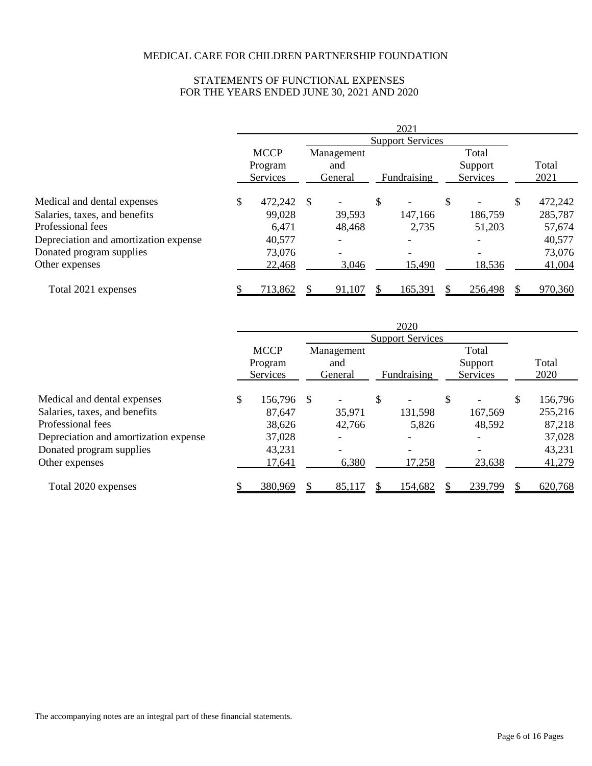## STATEMENTS OF FUNCTIONAL EXPENSES FOR THE YEARS ENDED JUNE 30, 2021 AND 2020

|                                       |    | 2021<br><b>Support Services</b>           |  |                              |    |             |    |                              |    |               |  |  |  |
|---------------------------------------|----|-------------------------------------------|--|------------------------------|----|-------------|----|------------------------------|----|---------------|--|--|--|
|                                       |    |                                           |  |                              |    |             |    |                              |    |               |  |  |  |
|                                       |    | <b>MCCP</b><br>Program<br><b>Services</b> |  | Management<br>and<br>General |    | Fundraising |    | Total<br>Support<br>Services |    | Total<br>2021 |  |  |  |
| Medical and dental expenses           | \$ | 472,242 \$                                |  |                              | \$ |             | \$ |                              | \$ | 472,242       |  |  |  |
| Salaries, taxes, and benefits         |    | 99,028                                    |  | 39,593                       |    | 147,166     |    | 186,759                      |    | 285,787       |  |  |  |
| Professional fees                     |    | 6,471                                     |  | 48,468                       |    | 2,735       |    | 51,203                       |    | 57,674        |  |  |  |
| Depreciation and amortization expense |    | 40,577                                    |  |                              |    |             |    |                              |    | 40,577        |  |  |  |
| Donated program supplies              |    | 73,076                                    |  |                              |    |             |    |                              |    | 73,076        |  |  |  |
| Other expenses                        |    | 22,468                                    |  | 3,046                        |    | 15,490      |    | 18,536                       |    | 41,004        |  |  |  |
| Total 2021 expenses                   |    | <u>713,862</u>                            |  | 91,107                       |    | 165,391     |    | 256,498                      |    | 970,360       |  |  |  |

|                                       |    |                                    |      |                              |                         | 2020    |                              |         |   |               |
|---------------------------------------|----|------------------------------------|------|------------------------------|-------------------------|---------|------------------------------|---------|---|---------------|
|                                       |    |                                    |      |                              | <b>Support Services</b> |         |                              |         |   |               |
|                                       |    | <b>MCCP</b><br>Program<br>Services |      | Management<br>and<br>General | Fundraising             |         | Total<br>Support<br>Services |         |   | Total<br>2020 |
| Medical and dental expenses           | \$ | 156,796                            | - \$ |                              | \$                      |         | \$                           |         | S | 156,796       |
| Salaries, taxes, and benefits         |    | 87,647                             |      | 35,971                       |                         | 131,598 |                              | 167,569 |   | 255,216       |
| Professional fees                     |    | 38,626                             |      | 42,766                       |                         | 5,826   |                              | 48,592  |   | 87,218        |
| Depreciation and amortization expense |    | 37,028                             |      |                              |                         |         |                              |         |   | 37,028        |
| Donated program supplies              |    | 43,231                             |      |                              |                         |         |                              |         |   | 43,231        |
| Other expenses                        |    | 17,641                             |      | 6,380                        |                         | 17,258  |                              | 23,638  |   | 41,279        |
| Total 2020 expenses                   |    | 380,969                            |      | 85,117                       |                         | 154,682 |                              | 239,799 |   | 620,768       |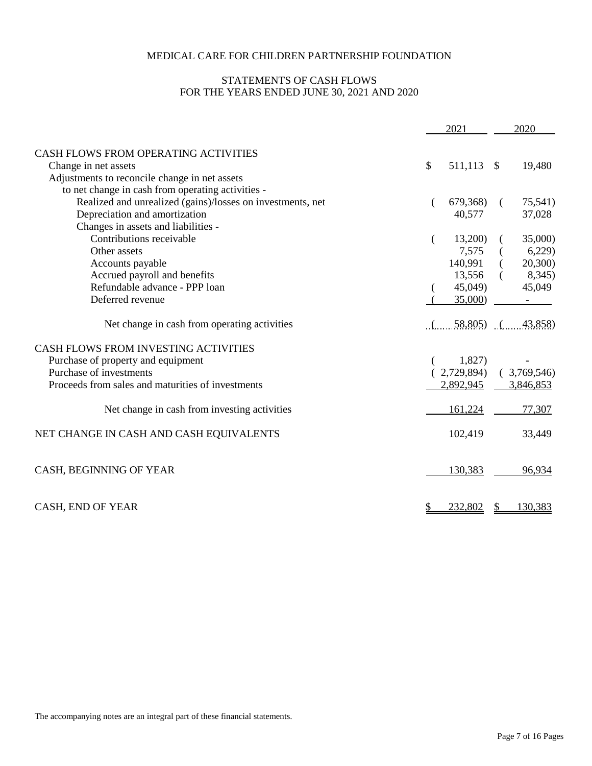## STATEMENTS OF CASH FLOWS FOR THE YEARS ENDED JUNE 30, 2021 AND 2020

|                                                            |       | 2021        |               | 2020        |
|------------------------------------------------------------|-------|-------------|---------------|-------------|
| CASH FLOWS FROM OPERATING ACTIVITIES                       |       |             |               |             |
| Change in net assets                                       | $\$\$ | 511,113     | <sup>\$</sup> | 19,480      |
| Adjustments to reconcile change in net assets              |       |             |               |             |
| to net change in cash from operating activities -          |       |             |               |             |
| Realized and unrealized (gains)/losses on investments, net |       | 679,368)    |               | 75,541)     |
| Depreciation and amortization                              |       | 40,577      |               | 37,028      |
| Changes in assets and liabilities -                        |       |             |               |             |
| Contributions receivable                                   | €     | 13,200      |               | 35,000)     |
| Other assets                                               |       | 7,575       |               | 6,229       |
| Accounts payable                                           |       | 140,991     |               | 20,300      |
| Accrued payroll and benefits                               |       | 13,556      |               | 8,345)      |
| Refundable advance - PPP loan                              |       | 45,049)     |               | 45,049      |
| Deferred revenue                                           |       | 35,000)     |               |             |
|                                                            |       |             |               |             |
| Net change in cash from operating activities               |       | $($ 58,805) |               | $($ 43,858) |
| CASH FLOWS FROM INVESTING ACTIVITIES                       |       |             |               |             |
| Purchase of property and equipment                         |       | 1,827)      |               |             |
| Purchase of investments                                    |       | 2,729,894)  |               | (3,769,546) |
| Proceeds from sales and maturities of investments          |       | 2,892,945   |               | 3,846,853   |
| Net change in cash from investing activities               |       | 161,224     |               | 77,307      |
| NET CHANGE IN CASH AND CASH EQUIVALENTS                    |       | 102,419     |               | 33,449      |
|                                                            |       |             |               |             |
| CASH, BEGINNING OF YEAR                                    |       | 130,383     |               | 96,934      |
| CASH, END OF YEAR                                          |       | 232,802     |               | 130,383     |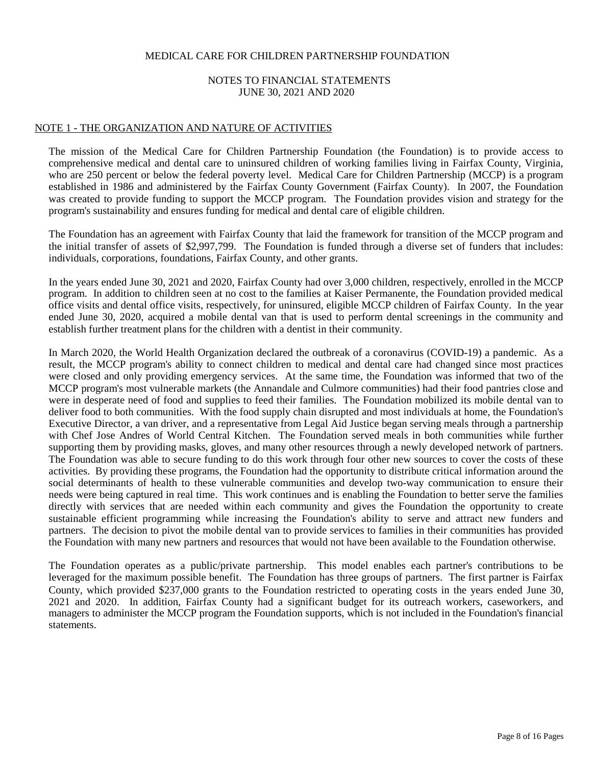### NOTES TO FINANCIAL STATEMENTS JUNE 30, 2021 AND 2020

### NOTE 1 - THE ORGANIZATION AND NATURE OF ACTIVITIES

The mission of the Medical Care for Children Partnership Foundation (the Foundation) is to provide access to comprehensive medical and dental care to uninsured children of working families living in Fairfax County, Virginia, who are 250 percent or below the federal poverty level. Medical Care for Children Partnership (MCCP) is a program established in 1986 and administered by the Fairfax County Government (Fairfax County). In 2007, the Foundation was created to provide funding to support the MCCP program. The Foundation provides vision and strategy for the program's sustainability and ensures funding for medical and dental care of eligible children.

The Foundation has an agreement with Fairfax County that laid the framework for transition of the MCCP program and the initial transfer of assets of \$2,997,799. The Foundation is funded through a diverse set of funders that includes: individuals, corporations, foundations, Fairfax County, and other grants.

In the years ended June 30, 2021 and 2020, Fairfax County had over 3,000 children, respectively, enrolled in the MCCP program. In addition to children seen at no cost to the families at Kaiser Permanente, the Foundation provided medical office visits and dental office visits, respectively, for uninsured, eligible MCCP children of Fairfax County. In the year ended June 30, 2020, acquired a mobile dental van that is used to perform dental screenings in the community and establish further treatment plans for the children with a dentist in their community.

In March 2020, the World Health Organization declared the outbreak of a coronavirus (COVID-19) a pandemic. As a result, the MCCP program's ability to connect children to medical and dental care had changed since most practices were closed and only providing emergency services. At the same time, the Foundation was informed that two of the MCCP program's most vulnerable markets (the Annandale and Culmore communities) had their food pantries close and were in desperate need of food and supplies to feed their families. The Foundation mobilized its mobile dental van to deliver food to both communities. With the food supply chain disrupted and most individuals at home, the Foundation's Executive Director, a van driver, and a representative from Legal Aid Justice began serving meals through a partnership with Chef Jose Andres of World Central Kitchen. The Foundation served meals in both communities while further supporting them by providing masks, gloves, and many other resources through a newly developed network of partners. The Foundation was able to secure funding to do this work through four other new sources to cover the costs of these activities. By providing these programs, the Foundation had the opportunity to distribute critical information around the social determinants of health to these vulnerable communities and develop two-way communication to ensure their needs were being captured in real time. This work continues and is enabling the Foundation to better serve the families directly with services that are needed within each community and gives the Foundation the opportunity to create sustainable efficient programming while increasing the Foundation's ability to serve and attract new funders and partners. The decision to pivot the mobile dental van to provide services to families in their communities has provided the Foundation with many new partners and resources that would not have been available to the Foundation otherwise.

The Foundation operates as a public/private partnership. This model enables each partner's contributions to be leveraged for the maximum possible benefit. The Foundation has three groups of partners. The first partner is Fairfax County, which provided \$237,000 grants to the Foundation restricted to operating costs in the years ended June 30, 2021 and 2020. In addition, Fairfax County had a significant budget for its outreach workers, caseworkers, and managers to administer the MCCP program the Foundation supports, which is not included in the Foundation's financial statements.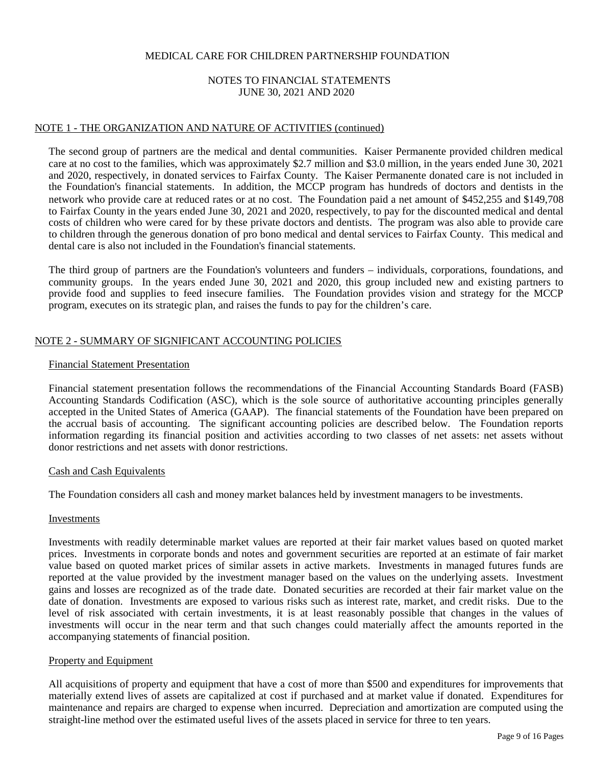## NOTES TO FINANCIAL STATEMENTS JUNE 30, 2021 AND 2020

### NOTE 1 - THE ORGANIZATION AND NATURE OF ACTIVITIES (continued)

The second group of partners are the medical and dental communities. Kaiser Permanente provided children medical care at no cost to the families, which was approximately \$2.7 million and \$3.0 million, in the years ended June 30, 2021 and 2020, respectively, in donated services to Fairfax County. The Kaiser Permanente donated care is not included in the Foundation's financial statements. In addition, the MCCP program has hundreds of doctors and dentists in the network who provide care at reduced rates or at no cost. The Foundation paid a net amount of \$452,255 and \$149,708 to Fairfax County in the years ended June 30, 2021 and 2020, respectively, to pay for the discounted medical and dental costs of children who were cared for by these private doctors and dentists. The program was also able to provide care to children through the generous donation of pro bono medical and dental services to Fairfax County. This medical and dental care is also not included in the Foundation's financial statements.

The third group of partners are the Foundation's volunteers and funders – individuals, corporations, foundations, and community groups. In the years ended June 30, 2021 and 2020, this group included new and existing partners to provide food and supplies to feed insecure families. The Foundation provides vision and strategy for the MCCP program, executes on its strategic plan, and raises the funds to pay for the children's care.

## NOTE 2 - SUMMARY OF SIGNIFICANT ACCOUNTING POLICIES

#### Financial Statement Presentation

Financial statement presentation follows the recommendations of the Financial Accounting Standards Board (FASB) Accounting Standards Codification (ASC), which is the sole source of authoritative accounting principles generally accepted in the United States of America (GAAP). The financial statements of the Foundation have been prepared on the accrual basis of accounting. The significant accounting policies are described below. The Foundation reports information regarding its financial position and activities according to two classes of net assets: net assets without donor restrictions and net assets with donor restrictions.

#### Cash and Cash Equivalents

The Foundation considers all cash and money market balances held by investment managers to be investments.

#### Investments

Investments with readily determinable market values are reported at their fair market values based on quoted market prices. Investments in corporate bonds and notes and government securities are reported at an estimate of fair market value based on quoted market prices of similar assets in active markets. Investments in managed futures funds are reported at the value provided by the investment manager based on the values on the underlying assets. Investment gains and losses are recognized as of the trade date. Donated securities are recorded at their fair market value on the date of donation. Investments are exposed to various risks such as interest rate, market, and credit risks. Due to the level of risk associated with certain investments, it is at least reasonably possible that changes in the values of investments will occur in the near term and that such changes could materially affect the amounts reported in the accompanying statements of financial position.

### Property and Equipment

All acquisitions of property and equipment that have a cost of more than \$500 and expenditures for improvements that materially extend lives of assets are capitalized at cost if purchased and at market value if donated. Expenditures for maintenance and repairs are charged to expense when incurred. Depreciation and amortization are computed using the straight-line method over the estimated useful lives of the assets placed in service for three to ten years.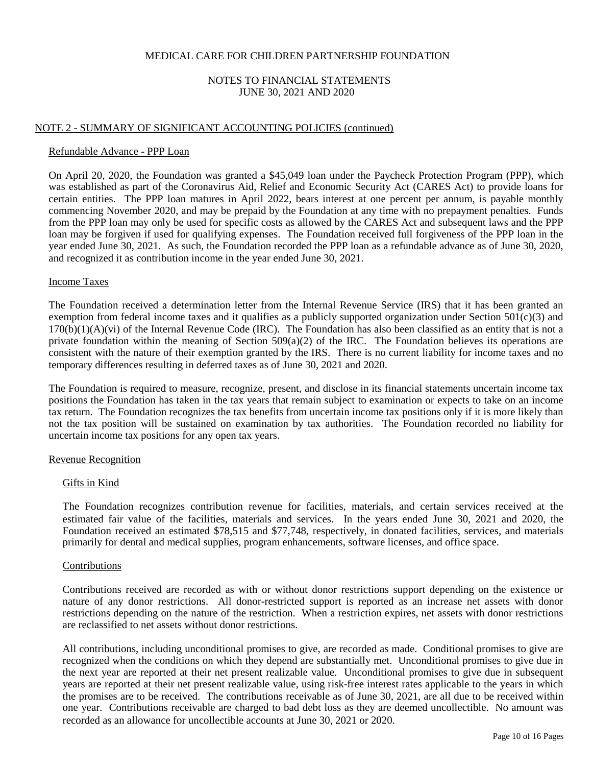### NOTES TO FINANCIAL STATEMENTS JUNE 30, 2021 AND 2020

### NOTE 2 - SUMMARY OF SIGNIFICANT ACCOUNTING POLICIES (continued)

#### Refundable Advance - PPP Loan

On April 20, 2020, the Foundation was granted a \$45,049 loan under the Paycheck Protection Program (PPP), which was established as part of the Coronavirus Aid, Relief and Economic Security Act (CARES Act) to provide loans for certain entities. The PPP loan matures in April 2022, bears interest at one percent per annum, is payable monthly commencing November 2020, and may be prepaid by the Foundation at any time with no prepayment penalties. Funds from the PPP loan may only be used for specific costs as allowed by the CARES Act and subsequent laws and the PPP loan may be forgiven if used for qualifying expenses. The Foundation received full forgiveness of the PPP loan in the year ended June 30, 2021. As such, the Foundation recorded the PPP loan as a refundable advance as of June 30, 2020, and recognized it as contribution income in the year ended June 30, 2021.

### Income Taxes

The Foundation received a determination letter from the Internal Revenue Service (IRS) that it has been granted an exemption from federal income taxes and it qualifies as a publicly supported organization under Section  $501(c)(3)$  and  $170(b)(1)(A)(vi)$  of the Internal Revenue Code (IRC). The Foundation has also been classified as an entity that is not a private foundation within the meaning of Section 509(a)(2) of the IRC. The Foundation believes its operations are consistent with the nature of their exemption granted by the IRS. There is no current liability for income taxes and no temporary differences resulting in deferred taxes as of June 30, 2021 and 2020.

The Foundation is required to measure, recognize, present, and disclose in its financial statements uncertain income tax positions the Foundation has taken in the tax years that remain subject to examination or expects to take on an income tax return. The Foundation recognizes the tax benefits from uncertain income tax positions only if it is more likely than not the tax position will be sustained on examination by tax authorities. The Foundation recorded no liability for uncertain income tax positions for any open tax years.

#### Revenue Recognition

#### Gifts in Kind

The Foundation recognizes contribution revenue for facilities, materials, and certain services received at the estimated fair value of the facilities, materials and services. In the years ended June 30, 2021 and 2020, the Foundation received an estimated \$78,515 and \$77,748, respectively, in donated facilities, services, and materials primarily for dental and medical supplies, program enhancements, software licenses, and office space.

#### Contributions

Contributions received are recorded as with or without donor restrictions support depending on the existence or nature of any donor restrictions. All donor-restricted support is reported as an increase net assets with donor restrictions depending on the nature of the restriction. When a restriction expires, net assets with donor restrictions are reclassified to net assets without donor restrictions.

All contributions, including unconditional promises to give, are recorded as made. Conditional promises to give are recognized when the conditions on which they depend are substantially met. Unconditional promises to give due in the next year are reported at their net present realizable value. Unconditional promises to give due in subsequent years are reported at their net present realizable value, using risk-free interest rates applicable to the years in which the promises are to be received. The contributions receivable as of June 30, 2021, are all due to be received within one year. Contributions receivable are charged to bad debt loss as they are deemed uncollectible. No amount was recorded as an allowance for uncollectible accounts at June 30, 2021 or 2020.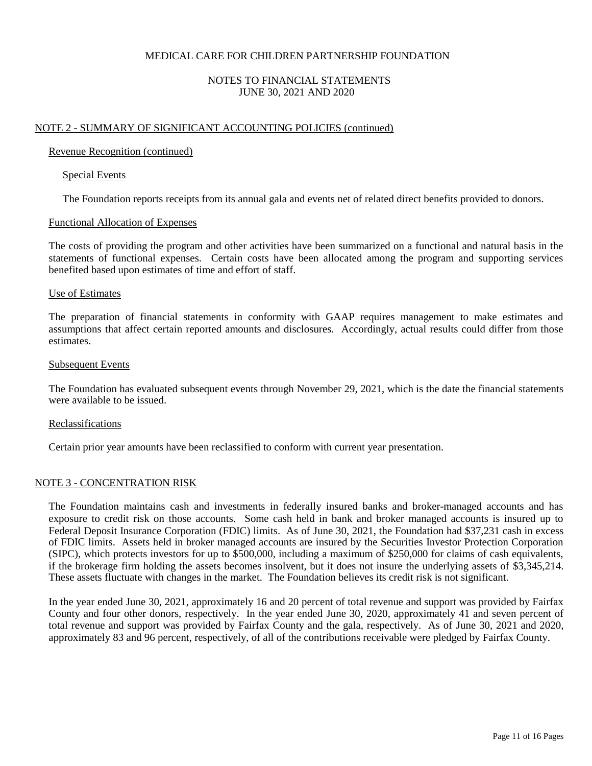### NOTES TO FINANCIAL STATEMENTS JUNE 30, 2021 AND 2020

### NOTE 2 - SUMMARY OF SIGNIFICANT ACCOUNTING POLICIES (continued)

#### Revenue Recognition (continued)

#### Special Events

The Foundation reports receipts from its annual gala and events net of related direct benefits provided to donors.

### Functional Allocation of Expenses

The costs of providing the program and other activities have been summarized on a functional and natural basis in the statements of functional expenses. Certain costs have been allocated among the program and supporting services benefited based upon estimates of time and effort of staff.

#### Use of Estimates

The preparation of financial statements in conformity with GAAP requires management to make estimates and assumptions that affect certain reported amounts and disclosures. Accordingly, actual results could differ from those estimates.

#### Subsequent Events

The Foundation has evaluated subsequent events through November 29, 2021, which is the date the financial statements were available to be issued.

#### Reclassifications

Certain prior year amounts have been reclassified to conform with current year presentation.

#### NOTE 3 - CONCENTRATION RISK

The Foundation maintains cash and investments in federally insured banks and broker-managed accounts and has exposure to credit risk on those accounts. Some cash held in bank and broker managed accounts is insured up to Federal Deposit Insurance Corporation (FDIC) limits. As of June 30, 2021, the Foundation had \$37,231 cash in excess of FDIC limits. Assets held in broker managed accounts are insured by the Securities Investor Protection Corporation (SIPC), which protects investors for up to \$500,000, including a maximum of \$250,000 for claims of cash equivalents, if the brokerage firm holding the assets becomes insolvent, but it does not insure the underlying assets of \$3,345,214. These assets fluctuate with changes in the market. The Foundation believes its credit risk is not significant.

In the year ended June 30, 2021, approximately 16 and 20 percent of total revenue and support was provided by Fairfax County and four other donors, respectively. In the year ended June 30, 2020, approximately 41 and seven percent of total revenue and support was provided by Fairfax County and the gala, respectively. As of June 30, 2021 and 2020, approximately 83 and 96 percent, respectively, of all of the contributions receivable were pledged by Fairfax County.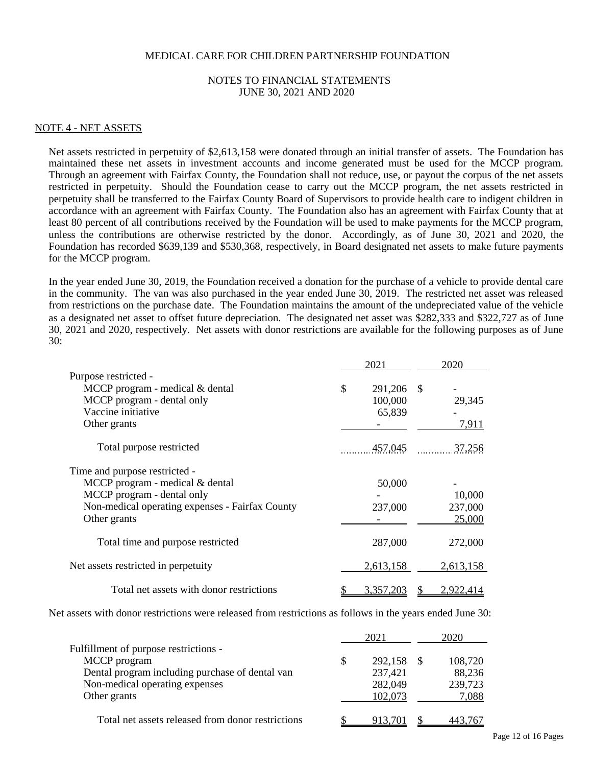### NOTES TO FINANCIAL STATEMENTS JUNE 30, 2021 AND 2020

### NOTE 4 - NET ASSETS

Net assets restricted in perpetuity of \$2,613,158 were donated through an initial transfer of assets. The Foundation has maintained these net assets in investment accounts and income generated must be used for the MCCP program. Through an agreement with Fairfax County, the Foundation shall not reduce, use, or payout the corpus of the net assets restricted in perpetuity. Should the Foundation cease to carry out the MCCP program, the net assets restricted in perpetuity shall be transferred to the Fairfax County Board of Supervisors to provide health care to indigent children in accordance with an agreement with Fairfax County. The Foundation also has an agreement with Fairfax County that at least 80 percent of all contributions received by the Foundation will be used to make payments for the MCCP program, unless the contributions are otherwise restricted by the donor. Accordingly, as of June 30, 2021 and 2020, the Foundation has recorded \$639,139 and \$530,368, respectively, in Board designated net assets to make future payments for the MCCP program.

In the year ended June 30, 2019, the Foundation received a donation for the purchase of a vehicle to provide dental care in the community. The van was also purchased in the year ended June 30, 2019. The restricted net asset was released from restrictions on the purchase date. The Foundation maintains the amount of the undepreciated value of the vehicle as a designated net asset to offset future depreciation. The designated net asset was \$282,333 and \$322,727 as of June 30, 2021 and 2020, respectively. Net assets with donor restrictions are available for the following purposes as of June 30:

|                                                 | 2021             | 2020      |
|-------------------------------------------------|------------------|-----------|
| Purpose restricted -                            |                  |           |
| $MCCP$ program - medical $&$ dental             | \$<br>291,206 \$ |           |
| MCCP program - dental only                      | 100,000          | 29,345    |
| Vaccine initiative                              | 65,839           |           |
| Other grants                                    |                  | 7,911     |
| Total purpose restricted                        | 457,045          | 37,256    |
| Time and purpose restricted -                   |                  |           |
| $MCCP$ program - medical $&$ dental             | 50,000           |           |
| MCCP program - dental only                      |                  | 10,000    |
| Non-medical operating expenses - Fairfax County | 237,000          | 237,000   |
| Other grants                                    |                  | 25,000    |
| Total time and purpose restricted               | 287,000          | 272,000   |
| Net assets restricted in perpetuity             | 2,613,158        | 2,613,158 |
| Total net assets with donor restrictions        | 3.357.203        | 2.922.414 |

Net assets with donor restrictions were released from restrictions as follows in the years ended June 30:

|                                                   | 2021    | 2020    |  |
|---------------------------------------------------|---------|---------|--|
| Fulfillment of purpose restrictions -             |         |         |  |
| MCCP program                                      | 292,158 | 108,720 |  |
| Dental program including purchase of dental van   | 237,421 | 88,236  |  |
| Non-medical operating expenses                    | 282,049 | 239,723 |  |
| Other grants                                      | 102,073 | 7,088   |  |
| Total net assets released from donor restrictions | 913,701 | 443.767 |  |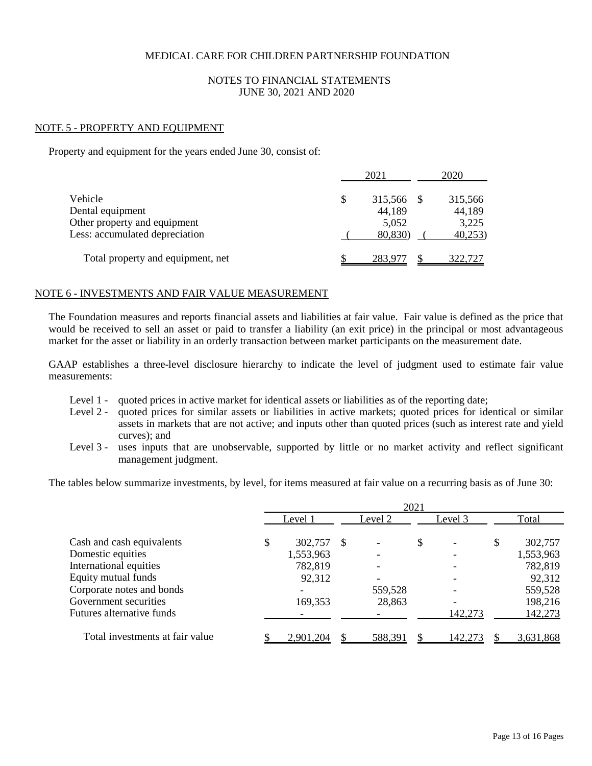### NOTES TO FINANCIAL STATEMENTS JUNE 30, 2021 AND 2020

#### NOTE 5 - PROPERTY AND EQUIPMENT

Property and equipment for the years ended June 30, consist of:

|                                   | 2021       | 2020    |
|-----------------------------------|------------|---------|
| Vehicle                           | 315,566 \$ | 315,566 |
| Dental equipment                  | 44,189     | 44,189  |
| Other property and equipment      | 5,052      | 3,225   |
| Less: accumulated depreciation    | 80,830)    | 40,253  |
| Total property and equipment, net | 283,977    | 322,727 |

#### NOTE 6 - INVESTMENTS AND FAIR VALUE MEASUREMENT

The Foundation measures and reports financial assets and liabilities at fair value. Fair value is defined as the price that would be received to sell an asset or paid to transfer a liability (an exit price) in the principal or most advantageous market for the asset or liability in an orderly transaction between market participants on the measurement date.

GAAP establishes a three-level disclosure hierarchy to indicate the level of judgment used to estimate fair value measurements:

- Level 1 quoted prices in active market for identical assets or liabilities as of the reporting date;
- Level 2 quoted prices for similar assets or liabilities in active markets; quoted prices for identical or similar assets in markets that are not active; and inputs other than quoted prices (such as interest rate and yield curves); and
- Level 3 uses inputs that are unobservable, supported by little or no market activity and reflect significant management judgment.

The tables below summarize investments, by level, for items measured at fair value on a recurring basis as of June 30:

|                                 | 2021          |    |         |   |                          |   |           |  |  |  |
|---------------------------------|---------------|----|---------|---|--------------------------|---|-----------|--|--|--|
|                                 | Level 1       |    | Level 2 |   | Level 3                  |   | Total     |  |  |  |
| Cash and cash equivalents       | \$<br>302,757 | -S |         | S | $\overline{\phantom{a}}$ | S | 302,757   |  |  |  |
| Domestic equities               | 1,553,963     |    |         |   |                          |   | 1,553,963 |  |  |  |
| International equities          | 782,819       |    |         |   |                          |   | 782,819   |  |  |  |
| Equity mutual funds             | 92,312        |    |         |   |                          |   | 92,312    |  |  |  |
| Corporate notes and bonds       |               |    | 559,528 |   |                          |   | 559,528   |  |  |  |
| Government securities           | 169,353       |    | 28,863  |   |                          |   | 198,216   |  |  |  |
| Futures alternative funds       |               |    |         |   | 142,273                  |   | 142,273   |  |  |  |
| Total investments at fair value | 2,901,204     |    | 588,391 |   | 142,273                  |   | 3,631,868 |  |  |  |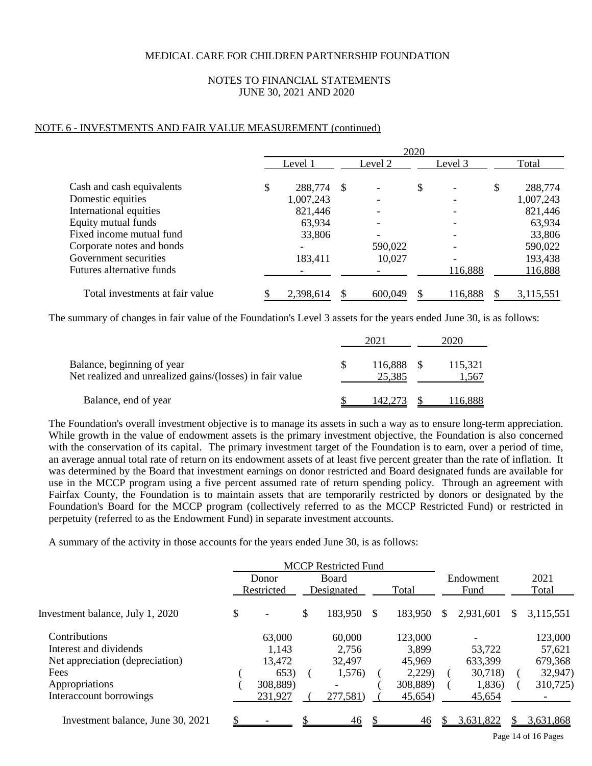### NOTES TO FINANCIAL STATEMENTS JUNE 30, 2021 AND 2020

## NOTE 6 - INVESTMENTS AND FAIR VALUE MEASUREMENT (continued)

|                                 | 2020 |           |    |         |   |         |    |           |  |  |  |
|---------------------------------|------|-----------|----|---------|---|---------|----|-----------|--|--|--|
|                                 |      | Level 1   |    | Level 2 |   | Level 3 |    | Total     |  |  |  |
| Cash and cash equivalents       | \$   | 288,774   | -S |         | S |         | \$ | 288,774   |  |  |  |
| Domestic equities               |      | 1,007,243 |    |         |   |         |    | 1,007,243 |  |  |  |
| International equities          |      | 821,446   |    |         |   |         |    | 821,446   |  |  |  |
| Equity mutual funds             |      | 63,934    |    |         |   |         |    | 63,934    |  |  |  |
| Fixed income mutual fund        |      | 33,806    |    |         |   |         |    | 33,806    |  |  |  |
| Corporate notes and bonds       |      |           |    | 590,022 |   |         |    | 590,022   |  |  |  |
| Government securities           |      | 183,411   |    | 10,027  |   |         |    | 193,438   |  |  |  |
| Futures alternative funds       |      |           |    |         |   | 116,888 |    | 116,888   |  |  |  |
| Total investments at fair value |      | 2,398,614 |    | 600.049 |   | 116,888 |    | 3,115,551 |  |  |  |

The summary of changes in fair value of the Foundation's Level 3 assets for the years ended June 30, is as follows:

|                                                                                        | 2021                 | 2020             |
|----------------------------------------------------------------------------------------|----------------------|------------------|
| Balance, beginning of year<br>Net realized and unrealized gains/(losses) in fair value | 116,888 \$<br>25.385 | 115,321<br>1,567 |
| Balance, end of year                                                                   | 142.273              | 116,888          |

The Foundation's overall investment objective is to manage its assets in such a way as to ensure long-term appreciation. While growth in the value of endowment assets is the primary investment objective, the Foundation is also concerned with the conservation of its capital. The primary investment target of the Foundation is to earn, over a period of time, an average annual total rate of return on its endowment assets of at least five percent greater than the rate of inflation. It was determined by the Board that investment earnings on donor restricted and Board designated funds are available for use in the MCCP program using a five percent assumed rate of return spending policy. Through an agreement with Fairfax County, the Foundation is to maintain assets that are temporarily restricted by donors or designated by the Foundation's Board for the MCCP program (collectively referred to as the MCCP Restricted Fund) or restricted in perpetuity (referred to as the Endowment Fund) in separate investment accounts.

A summary of the activity in those accounts for the years ended June 30, is as follows:

|                                   | <b>MCCP Restricted Fund</b> |          |                            |          |               |          |                   |           |               |                          |
|-----------------------------------|-----------------------------|----------|----------------------------|----------|---------------|----------|-------------------|-----------|---------------|--------------------------|
|                                   | Donor<br>Restricted         |          | <b>Board</b><br>Designated |          | Total         |          | Endowment<br>Fund |           | 2021<br>Total |                          |
| Investment balance, July 1, 2020  | \$                          |          | \$                         | 183,950  | <sup>\$</sup> | 183,950  | \$.               | 2,931,601 | \$.           | 3,115,551                |
| Contributions                     |                             | 63,000   |                            | 60,000   |               | 123,000  |                   |           |               | 123,000                  |
| Interest and dividends            |                             | 1,143    |                            | 2,756    |               | 3.899    |                   | 53,722    |               | 57,621                   |
| Net appreciation (depreciation)   |                             | 13,472   |                            | 32,497   |               | 45,969   |                   | 633,399   |               | 679,368                  |
| Fees                              |                             | 653)     |                            | 1,576)   |               | 2,229)   |                   | 30,718)   |               | 32,947)                  |
| Appropriations                    |                             | 308,889) |                            |          |               | 308,889) |                   | 1,836)    |               | 310,725)                 |
| Interaccount borrowings           |                             | 231,927  |                            | 277,581) |               | 45,654)  |                   | 45,654    |               |                          |
| Investment balance, June 30, 2021 |                             |          |                            | 46       |               | 46       |                   | 3,631,822 |               | 3,631,868                |
|                                   |                             |          |                            |          |               |          |                   |           |               | $n = 14.01 \times n = 1$ |

Page 14 of 16 Pages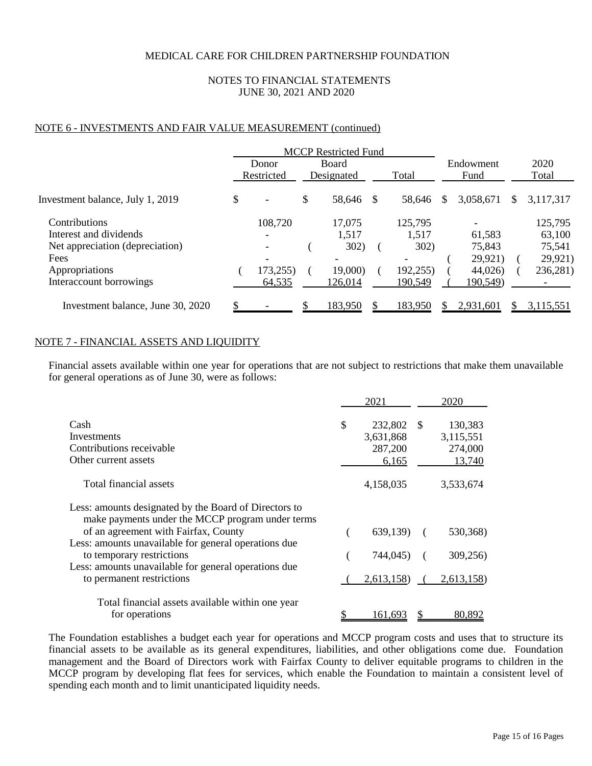### NOTES TO FINANCIAL STATEMENTS JUNE 30, 2021 AND 2020

## NOTE 6 - INVESTMENTS AND FAIR VALUE MEASUREMENT (continued)

|                                   | <b>MCCP Restricted Fund</b> |                     |    |                            |  |          |  |                   |   |               |  |
|-----------------------------------|-----------------------------|---------------------|----|----------------------------|--|----------|--|-------------------|---|---------------|--|
|                                   |                             | Donor<br>Restricted |    | <b>Board</b><br>Designated |  | Total    |  | Endowment<br>Fund |   | 2020<br>Total |  |
| Investment balance, July 1, 2019  | \$                          |                     | \$ | 58,646                     |  | 58,646   |  | 3,058,671         | S | 3,117,317     |  |
| Contributions                     |                             | 108,720             |    | 17,075                     |  | 125,795  |  |                   |   | 125,795       |  |
| Interest and dividends            |                             |                     |    | 1,517                      |  | 1,517    |  | 61,583            |   | 63,100        |  |
| Net appreciation (depreciation)   |                             |                     |    | 302)                       |  | 302)     |  | 75,843            |   | 75,541        |  |
| Fees                              |                             |                     |    |                            |  |          |  | 29,921)           |   | 29,921)       |  |
| Appropriations                    |                             | 173,255)            |    | 19,000)                    |  | 192,255) |  | 44,026)           |   | 236,281)      |  |
| Interaccount borrowings           |                             | 64,535              |    | 126,014                    |  | 190,549  |  | 190,549)          |   |               |  |
| Investment balance, June 30, 2020 |                             |                     |    | 183,950                    |  | 183,950  |  | 2,931,601         | S | 3,115,551     |  |

### NOTE 7 - FINANCIAL ASSETS AND LIQUIDITY

Financial assets available within one year for operations that are not subject to restrictions that make them unavailable for general operations as of June 30, were as follows:

|                                                                                                           | 2021          | 2020          |
|-----------------------------------------------------------------------------------------------------------|---------------|---------------|
| Cash                                                                                                      | \$<br>232,802 | \$<br>130,383 |
| Investments                                                                                               | 3,631,868     | 3,115,551     |
| Contributions receivable                                                                                  | 287,200       | 274,000       |
| Other current assets                                                                                      | 6,165         | 13,740        |
| Total financial assets                                                                                    | 4,158,035     | 3,533,674     |
| Less: amounts designated by the Board of Directors to<br>make payments under the MCCP program under terms |               |               |
| of an agreement with Fairfax, County                                                                      | 639,139)      | 530,368)      |
| Less: amounts unavailable for general operations due                                                      |               |               |
| to temporary restrictions                                                                                 | 744,045)      | 309,256)      |
| Less: amounts unavailable for general operations due                                                      |               |               |
| to permanent restrictions                                                                                 | 2,613,158)    | 2,613,158)    |
| Total financial assets available within one year                                                          |               |               |
| for operations                                                                                            | 161,693       | 80,892        |

The Foundation establishes a budget each year for operations and MCCP program costs and uses that to structure its financial assets to be available as its general expenditures, liabilities, and other obligations come due. Foundation management and the Board of Directors work with Fairfax County to deliver equitable programs to children in the MCCP program by developing flat fees for services, which enable the Foundation to maintain a consistent level of spending each month and to limit unanticipated liquidity needs.